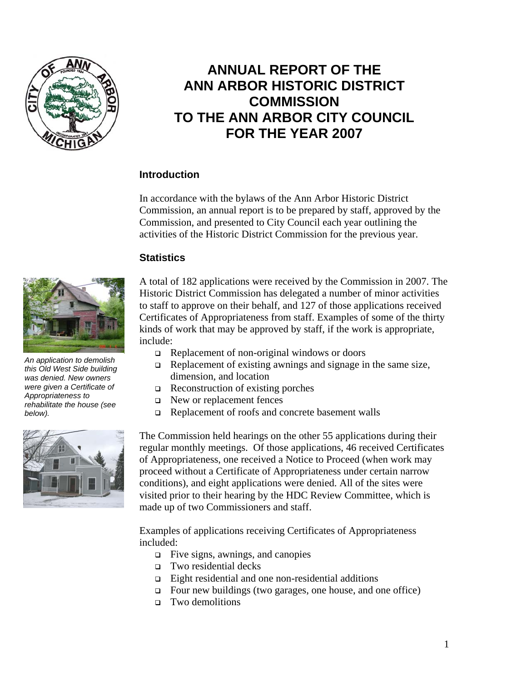

# **ANNUAL REPORT OF THE ANN ARBOR HISTORIC DISTRICT COMMISSION TO THE ANN ARBOR CITY COUNCIL FOR THE YEAR 2007**

## **Introduction**

In accordance with the bylaws of the Ann Arbor Historic District Commission, an annual report is to be prepared by staff, approved by the Commission, and presented to City Council each year outlining the activities of the Historic District Commission for the previous year.

### **Statistics**



*An application to demolish this Old West Side building was denied. New owners were given a Certificate of Appropriateness to rehabilitate the house (see below).* 



A total of 182 applications were received by the Commission in 2007. The Historic District Commission has delegated a number of minor activities to staff to approve on their behalf, and 127 of those applications received Certificates of Appropriateness from staff. Examples of some of the thirty kinds of work that may be approved by staff, if the work is appropriate, include:

- $\Box$  Replacement of non-original windows or doors
- $\Box$  Replacement of existing awnings and signage in the same size, dimension, and location
- $\Box$  Reconstruction of existing porches
- New or replacement fences
- Replacement of roofs and concrete basement walls

The Commission held hearings on the other 55 applications during their regular monthly meetings. Of those applications, 46 received Certificates of Appropriateness, one received a Notice to Proceed (when work may proceed without a Certificate of Appropriateness under certain narrow conditions), and eight applications were denied. All of the sites were visited prior to their hearing by the HDC Review Committee, which is made up of two Commissioners and staff.

Examples of applications receiving Certificates of Appropriateness included:

- $\Box$  Five signs, awnings, and canopies
- Two residential decks
- Eight residential and one non-residential additions
- Four new buildings (two garages, one house, and one office)
- Two demolitions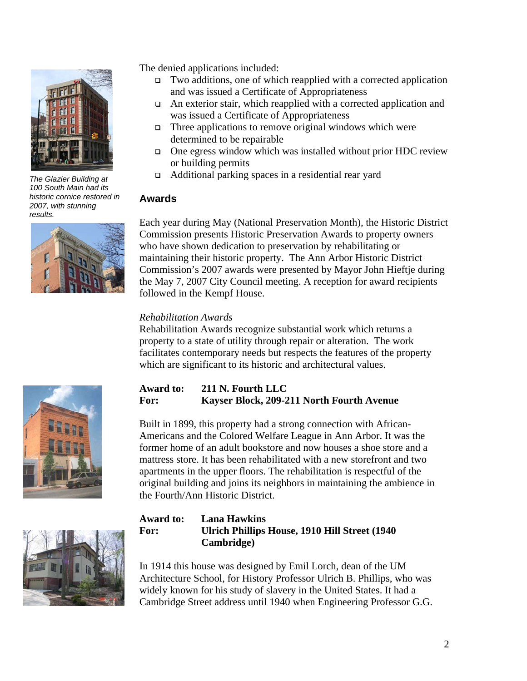

*The Glazier Building at 100 South Main had its historic cornice restored in 2007, with stunning results.* 



The denied applications included:

- Two additions, one of which reapplied with a corrected application and was issued a Certificate of Appropriateness
- $\Box$  An exterior stair, which reapplied with a corrected application and was issued a Certificate of Appropriateness
- $\Box$  Three applications to remove original windows which were determined to be repairable
- $\Box$  One egress window which was installed without prior HDC review or building permits
- Additional parking spaces in a residential rear yard

## **Awards**

Each year during May (National Preservation Month), the Historic District Commission presents Historic Preservation Awards to property owners who have shown dedication to preservation by rehabilitating or maintaining their historic property. The Ann Arbor Historic District Commission's 2007 awards were presented by Mayor John Hieftje during the May 7, 2007 City Council meeting. A reception for award recipients followed in the Kempf House.

### *Rehabilitation Awards*

Rehabilitation Awards recognize substantial work which returns a property to a state of utility through repair or alteration. The work facilitates contemporary needs but respects the features of the property which are significant to its historic and architectural values.

# **Award to: 211 N. Fourth LLC For: Kayser Block, 209-211 North Fourth Avenue**

Built in 1899, this property had a strong connection with African-Americans and the Colored Welfare League in Ann Arbor. It was the former home of an adult bookstore and now houses a shoe store and a mattress store. It has been rehabilitated with a new storefront and two apartments in the upper floors. The rehabilitation is respectful of the original building and joins its neighbors in maintaining the ambience in the Fourth/Ann Historic District.



# **Award to: Lana Hawkins For: Ulrich Phillips House, 1910 Hill Street (1940 Cambridge)**

In 1914 this house was designed by Emil Lorch, dean of the UM Architecture School, for History Professor Ulrich B. Phillips, who was widely known for his study of slavery in the United States. It had a Cambridge Street address until 1940 when Engineering Professor G.G.



2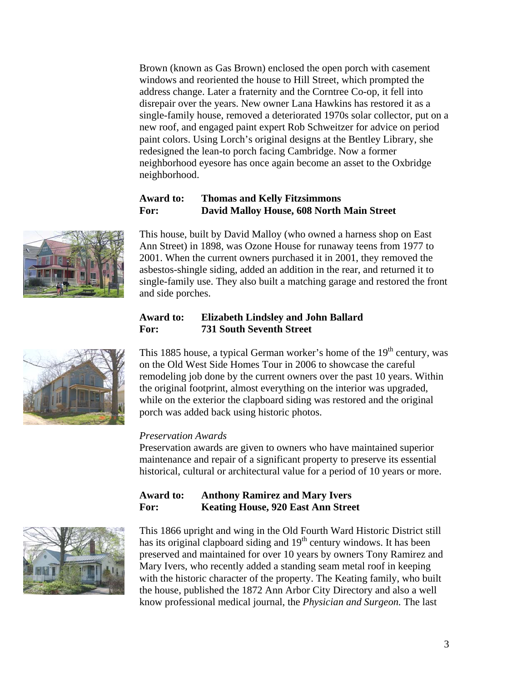Brown (known as Gas Brown) enclosed the open porch with casement windows and reoriented the house to Hill Street, which prompted the address change. Later a fraternity and the Corntree Co-op, it fell into disrepair over the years. New owner Lana Hawkins has restored it as a single-family house, removed a deteriorated 1970s solar collector, put on a new roof, and engaged paint expert Rob Schweitzer for advice on period paint colors. Using Lorch's original designs at the Bentley Library, she redesigned the lean-to porch facing Cambridge. Now a former neighborhood eyesore has once again become an asset to the Oxbridge neighborhood.

## **Award to: Thomas and Kelly Fitzsimmons For: David Malloy House, 608 North Main Street**

This house, built by David Malloy (who owned a harness shop on East Ann Street) in 1898, was Ozone House for runaway teens from 1977 to 2001. When the current owners purchased it in 2001, they removed the asbestos-shingle siding, added an addition in the rear, and returned it to single-family use. They also built a matching garage and restored the front and side porches.

# **Award to: Elizabeth Lindsley and John Ballard For: 731 South Seventh Street**

This 1885 house, a typical German worker's home of the  $19<sup>th</sup>$  century, was on the Old West Side Homes Tour in 2006 to showcase the careful remodeling job done by the current owners over the past 10 years. Within the original footprint, almost everything on the interior was upgraded, while on the exterior the clapboard siding was restored and the original porch was added back using historic photos.

### *Preservation Awards*

Preservation awards are given to owners who have maintained superior maintenance and repair of a significant property to preserve its essential historical, cultural or architectural value for a period of 10 years or more.

| <b>Award to:</b> | <b>Anthony Ramirez and Mary Ivers</b>     |
|------------------|-------------------------------------------|
| For:             | <b>Keating House, 920 East Ann Street</b> |

This 1866 upright and wing in the Old Fourth Ward Historic District still has its original clapboard siding and 19<sup>th</sup> century windows. It has been preserved and maintained for over 10 years by owners Tony Ramirez and Mary Ivers, who recently added a standing seam metal roof in keeping with the historic character of the property. The Keating family, who built the house, published the 1872 Ann Arbor City Directory and also a well know professional medical journal, the *Physician and Surgeon.* The last



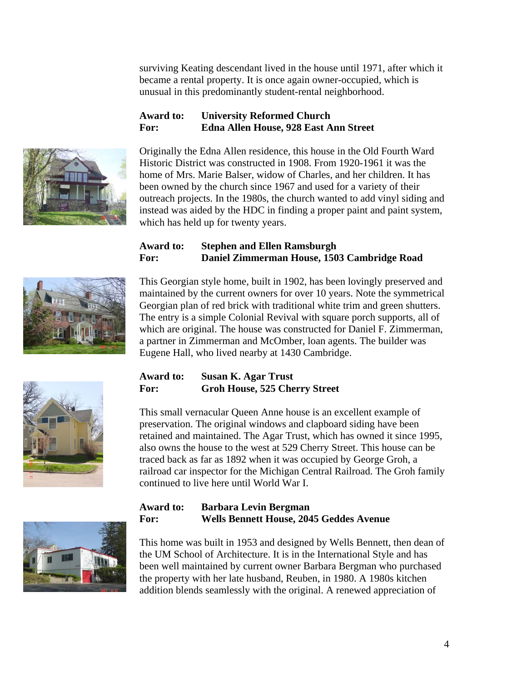surviving Keating descendant lived in the house until 1971, after which it became a rental property. It is once again owner-occupied, which is unusual in this predominantly student-rental neighborhood.

# **Award to: University Reformed Church For: Edna Allen House, 928 East Ann Street**



Originally the Edna Allen residence, this house in the Old Fourth Ward Historic District was constructed in 1908. From 1920-1961 it was the home of Mrs. Marie Balser, widow of Charles, and her children. It has been owned by the church since 1967 and used for a variety of their outreach projects. In the 1980s, the church wanted to add vinyl siding and instead was aided by the HDC in finding a proper paint and paint system, which has held up for twenty years.

# **Award to: Stephen and Ellen Ramsburgh For: Daniel Zimmerman House, 1503 Cambridge Road**



This Georgian style home, built in 1902, has been lovingly preserved and maintained by the current owners for over 10 years. Note the symmetrical Georgian plan of red brick with traditional white trim and green shutters. The entry is a simple Colonial Revival with square porch supports, all of which are original. The house was constructed for Daniel F. Zimmerman, a partner in Zimmerman and McOmber, loan agents. The builder was Eugene Hall, who lived nearby at 1430 Cambridge.





This small vernacular Queen Anne house is an excellent example of preservation. The original windows and clapboard siding have been retained and maintained. The Agar Trust, which has owned it since 1995, also owns the house to the west at 529 Cherry Street. This house can be traced back as far as 1892 when it was occupied by George Groh, a railroad car inspector for the Michigan Central Railroad. The Groh family continued to live here until World War I.



## **Award to: Barbara Levin Bergman For: Wells Bennett House, 2045 Geddes Avenue**

This home was built in 1953 and designed by Wells Bennett, then dean of the UM School of Architecture. It is in the International Style and has been well maintained by current owner Barbara Bergman who purchased the property with her late husband, Reuben, in 1980. A 1980s kitchen addition blends seamlessly with the original. A renewed appreciation of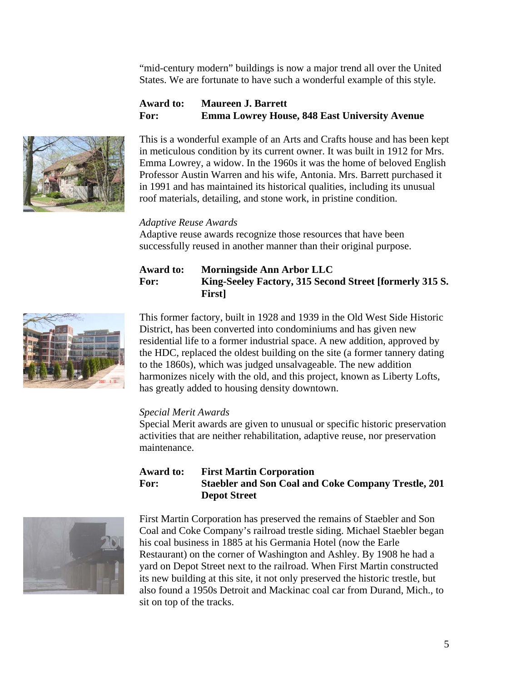"mid-century modern" buildings is now a major trend all over the United States. We are fortunate to have such a wonderful example of this style.

## **Award to: Maureen J. Barrett For: Emma Lowrey House, 848 East University Avenue**



This is a wonderful example of an Arts and Crafts house and has been kept in meticulous condition by its current owner. It was built in 1912 for Mrs. Emma Lowrey, a widow. In the 1960s it was the home of beloved English Professor Austin Warren and his wife, Antonia. Mrs. Barrett purchased it in 1991 and has maintained its historical qualities, including its unusual roof materials, detailing, and stone work, in pristine condition.

#### *Adaptive Reuse Awards*

Adaptive reuse awards recognize those resources that have been successfully reused in another manner than their original purpose.

#### **Award to: Morningside Ann Arbor LLC For: King-Seeley Factory, 315 Second Street [formerly 315 S. First]**



This former factory, built in 1928 and 1939 in the Old West Side Historic District, has been converted into condominiums and has given new residential life to a former industrial space. A new addition, approved by the HDC, replaced the oldest building on the site (a former tannery dating to the 1860s), which was judged unsalvageable. The new addition harmonizes nicely with the old, and this project, known as Liberty Lofts, has greatly added to housing density downtown.

### *Special Merit Awards*

Special Merit awards are given to unusual or specific historic preservation activities that are neither rehabilitation, adaptive reuse, nor preservation maintenance.

### **Award to: First Martin Corporation For: Staebler and Son Coal and Coke Company Trestle, 201 Depot Street**



First Martin Corporation has preserved the remains of Staebler and Son Coal and Coke Company's railroad trestle siding. Michael Staebler began his coal business in 1885 at his Germania Hotel (now the Earle Restaurant) on the corner of Washington and Ashley. By 1908 he had a yard on Depot Street next to the railroad. When First Martin constructed its new building at this site, it not only preserved the historic trestle, but also found a 1950s Detroit and Mackinac coal car from Durand, Mich., to sit on top of the tracks.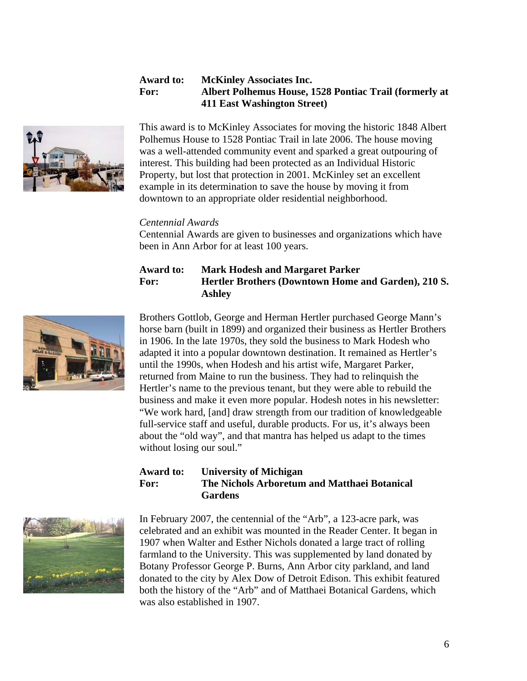#### **Award to: McKinley Associates Inc. For: Albert Polhemus House, 1528 Pontiac Trail (formerly at 411 East Washington Street)**



This award is to McKinley Associates for moving the historic 1848 Albert Polhemus House to 1528 Pontiac Trail in late 2006. The house moving was a well-attended community event and sparked a great outpouring of interest. This building had been protected as an Individual Historic Property, but lost that protection in 2001. McKinley set an excellent example in its determination to save the house by moving it from downtown to an appropriate older residential neighborhood.

#### *Centennial Awards*

Centennial Awards are given to businesses and organizations which have been in Ann Arbor for at least 100 years.

#### **Award to: Mark Hodesh and Margaret Parker For: Hertler Brothers (Downtown Home and Garden), 210 S. Ashley**



Brothers Gottlob, George and Herman Hertler purchased George Mann's horse barn (built in 1899) and organized their business as Hertler Brothers in 1906. In the late 1970s, they sold the business to Mark Hodesh who adapted it into a popular downtown destination. It remained as Hertler's until the 1990s, when Hodesh and his artist wife, Margaret Parker, returned from Maine to run the business. They had to relinquish the Hertler's name to the previous tenant, but they were able to rebuild the business and make it even more popular. Hodesh notes in his newsletter: "We work hard, [and] draw strength from our tradition of knowledgeable full-service staff and useful, durable products. For us, it's always been about the "old way", and that mantra has helped us adapt to the times without losing our soul."

#### **Award to: University of Michigan For: The Nichols Arboretum and Matthaei Botanical Gardens**



In February 2007, the centennial of the "Arb", a 123-acre park, was celebrated and an exhibit was mounted in the Reader Center. It began in 1907 when Walter and Esther Nichols donated a large tract of rolling farmland to the University. This was supplemented by land donated by Botany Professor George P. Burns, Ann Arbor city parkland, and land donated to the city by Alex Dow of Detroit Edison. This exhibit featured both the history of the "Arb" and of Matthaei Botanical Gardens, which was also established in 1907.